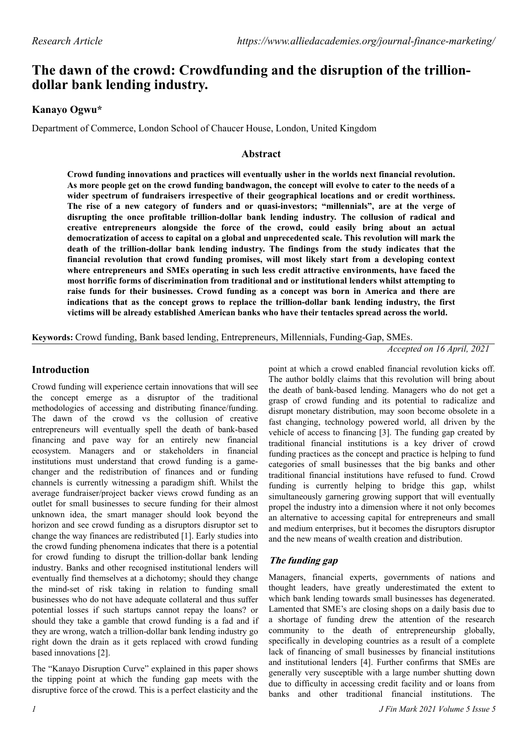# **The dawn of the crowd: Crowdfunding and the disruption of the trilliondollar bank lending industry.**

# **Kanayo Ogwu\***

Department of Commerce, London School of Chaucer House, London, United Kingdom

### **Abstract**

**Crowd funding innovations and practices will eventually usher in the worlds next financial revolution. As more people get on the crowd funding bandwagon, the concept will evolve to cater to the needs of a wider spectrum of fundraisers irrespective of their geographical locations and or credit worthiness. The rise of a new category of funders and or quasi-investors; "millennials", are at the verge of disrupting the once profitable trillion-dollar bank lending industry. The collusion of radical and creative entrepreneurs alongside the force of the crowd, could easily bring about an actual democratization of access to capital on a global and unprecedented scale. This revolution will mark the death of the trillion-dollar bank lending industry. The findings from the study indicates that the financial revolution that crowd funding promises, will most likely start from a developing context where entrepreneurs and SMEs operating in such less credit attractive environments, have faced the most horrific forms of discrimination from traditional and or institutional lenders whilst attempting to raise funds for their businesses. Crowd funding as a concept was born in America and there are indications that as the concept grows to replace the trillion-dollar bank lending industry, the first victims will be already established American banks who have their tentacles spread across the world.**

**Keywords:** Crowd funding, Bank based lending, Entrepreneurs, Millennials, Funding-Gap, SMEs.

*Accepted on 16 April, 2021*

## **Introduction**

Crowd funding will experience certain innovations that will see the concept emerge as a disruptor of the traditional methodologies of accessing and distributing finance/funding. The dawn of the crowd vs the collusion of creative entrepreneurs will eventually spell the death of bank-based financing and pave way for an entirely new financial ecosystem. Managers and or stakeholders in financial institutions must understand that crowd funding is a gamechanger and the redistribution of finances and or funding channels is currently witnessing a paradigm shift. Whilst the average fundraiser/project backer views crowd funding as an outlet for small businesses to secure funding for their almost unknown idea, the smart manager should look beyond the horizon and see crowd funding as a disruptors disruptor set to change the way finances are redistributed [1]. Early studies into the crowd funding phenomena indicates that there is a potential for crowd funding to disrupt the trillion-dollar bank lending industry. Banks and other recognised institutional lenders will eventually find themselves at a dichotomy; should they change the mind-set of risk taking in relation to funding small businesses who do not have adequate collateral and thus suffer potential losses if such startups cannot repay the loans? or should they take a gamble that crowd funding is a fad and if they are wrong, watch a trillion-dollar bank lending industry go right down the drain as it gets replaced with crowd funding based innovations [2].

The "Kanayo Disruption Curve" explained in this paper shows the tipping point at which the funding gap meets with the disruptive force of the crowd. This is a perfect elasticity and the

point at which a crowd enabled financial revolution kicks off. The author boldly claims that this revolution will bring about the death of bank-based lending. Managers who do not get a grasp of crowd funding and its potential to radicalize and disrupt monetary distribution, may soon become obsolete in a fast changing, technology powered world, all driven by the vehicle of access to financing [3]. The funding gap created by traditional financial institutions is a key driver of crowd funding practices as the concept and practice is helping to fund categories of small businesses that the big banks and other traditional financial institutions have refused to fund. Crowd funding is currently helping to bridge this gap, whilst simultaneously garnering growing support that will eventually propel the industry into a dimension where it not only becomes an alternative to accessing capital for entrepreneurs and small and medium enterprises, but it becomes the disruptors disruptor and the new means of wealth creation and distribution.

# **The funding gap**

Managers, financial experts, governments of nations and thought leaders, have greatly underestimated the extent to which bank lending towards small businesses has degenerated. Lamented that SME's are closing shops on a daily basis due to a shortage of funding drew the attention of the research community to the death of entrepreneurship globally, specifically in developing countries as a result of a complete lack of financing of small businesses by financial institutions and institutional lenders [4]. Further confirms that SMEs are generally very susceptible with a large number shutting down due to difficulty in accessing credit facility and or loans from banks and other traditional financial institutions. The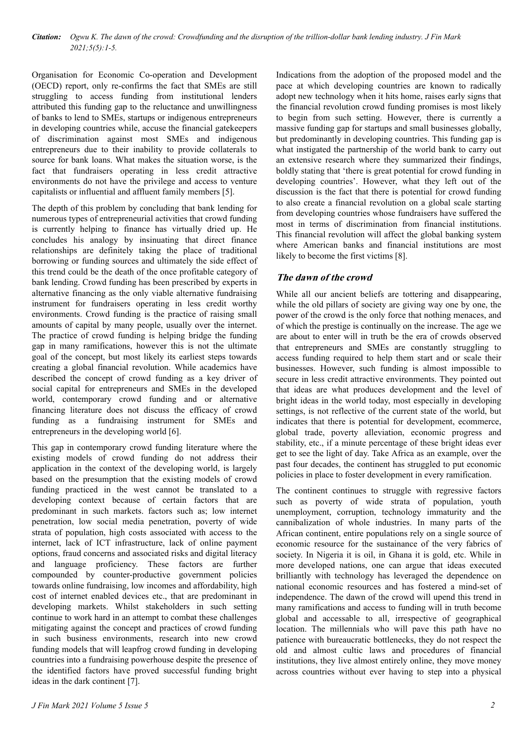Organisation for Economic Co-operation and Development (OECD) report, only re-confirms the fact that SMEs are still struggling to access funding from institutional lenders attributed this funding gap to the reluctance and unwillingness of banks to lend to SMEs, startups or indigenous entrepreneurs in developing countries while, accuse the financial gatekeepers of discrimination against most SMEs and indigenous entrepreneurs due to their inability to provide collaterals to source for bank loans. What makes the situation worse, is the fact that fundraisers operating in less credit attractive environments do not have the privilege and access to venture capitalists or influential and affluent family members [5].

The depth of this problem by concluding that bank lending for numerous types of entrepreneurial activities that crowd funding is currently helping to finance has virtually dried up. He concludes his analogy by insinuating that direct finance relationships are definitely taking the place of traditional borrowing or funding sources and ultimately the side effect of this trend could be the death of the once profitable category of bank lending. Crowd funding has been prescribed by experts in alternative financing as the only viable alternative fundraising instrument for fundraisers operating in less credit worthy environments. Crowd funding is the practice of raising small amounts of capital by many people, usually over the internet. The practice of crowd funding is helping bridge the funding gap in many ramifications, however this is not the ultimate goal of the concept, but most likely its earliest steps towards creating a global financial revolution. While academics have described the concept of crowd funding as a key driver of social capital for entrepreneurs and SMEs in the developed world, contemporary crowd funding and or alternative financing literature does not discuss the efficacy of crowd funding as a fundraising instrument for SMEs and entrepreneurs in the developing world [6].

This gap in contemporary crowd funding literature where the existing models of crowd funding do not address their application in the context of the developing world, is largely based on the presumption that the existing models of crowd funding practiced in the west cannot be translated to a developing context because of certain factors that are predominant in such markets. factors such as; low internet penetration, low social media penetration, poverty of wide strata of population, high costs associated with access to the internet, lack of ICT infrastructure, lack of online payment options, fraud concerns and associated risks and digital literacy and language proficiency. These factors are further compounded by counter-productive government policies towards online fundraising, low incomes and affordability, high cost of internet enabled devices etc., that are predominant in developing markets. Whilst stakeholders in such setting continue to work hard in an attempt to combat these challenges mitigating against the concept and practices of crowd funding in such business environments, research into new crowd funding models that will leapfrog crowd funding in developing countries into a fundraising powerhouse despite the presence of the identified factors have proved successful funding bright ideas in the dark continent [7].

Indications from the adoption of the proposed model and the pace at which developing countries are known to radically adopt new technology when it hits home, raises early signs that the financial revolution crowd funding promises is most likely to begin from such setting. However, there is currently a massive funding gap for startups and small businesses globally, but predominantly in developing countries. This funding gap is what instigated the partnership of the world bank to carry out an extensive research where they summarized their findings, boldly stating that 'there is great potential for crowd funding in developing countries'. However, what they left out of the discussion is the fact that there is potential for crowd funding to also create a financial revolution on a global scale starting from developing countries whose fundraisers have suffered the most in terms of discrimination from financial institutions. This financial revolution will affect the global banking system where American banks and financial institutions are most likely to become the first victims [8].

# **The dawn of the crowd**

While all our ancient beliefs are tottering and disappearing, while the old pillars of society are giving way one by one, the power of the crowd is the only force that nothing menaces, and of which the prestige is continually on the increase. The age we are about to enter will in truth be the era of crowds observed that entrepreneurs and SMEs are constantly struggling to access funding required to help them start and or scale their businesses. However, such funding is almost impossible to secure in less credit attractive environments. They pointed out that ideas are what produces development and the level of bright ideas in the world today, most especially in developing settings, is not reflective of the current state of the world, but indicates that there is potential for development, ecommerce, global trade, poverty alleviation, economic progress and stability, etc., if a minute percentage of these bright ideas ever get to see the light of day. Take Africa as an example, over the past four decades, the continent has struggled to put economic policies in place to foster development in every ramification.

The continent continues to struggle with regressive factors such as poverty of wide strata of population, youth unemployment, corruption, technology immaturity and the cannibalization of whole industries. In many parts of the African continent, entire populations rely on a single source of economic resource for the sustainance of the very fabrics of society. In Nigeria it is oil, in Ghana it is gold, etc. While in more developed nations, one can argue that ideas executed brilliantly with technology has leveraged the dependence on national economic resources and has fostered a mind-set of independence. The dawn of the crowd will upend this trend in many ramifications and access to funding will in truth become global and accessable to all, irrespective of geographical location. The millennials who will pave this path have no patience with bureaucratic bottlenecks, they do not respect the old and almost cultic laws and procedures of financial institutions, they live almost entirely online, they move money across countries without ever having to step into a physical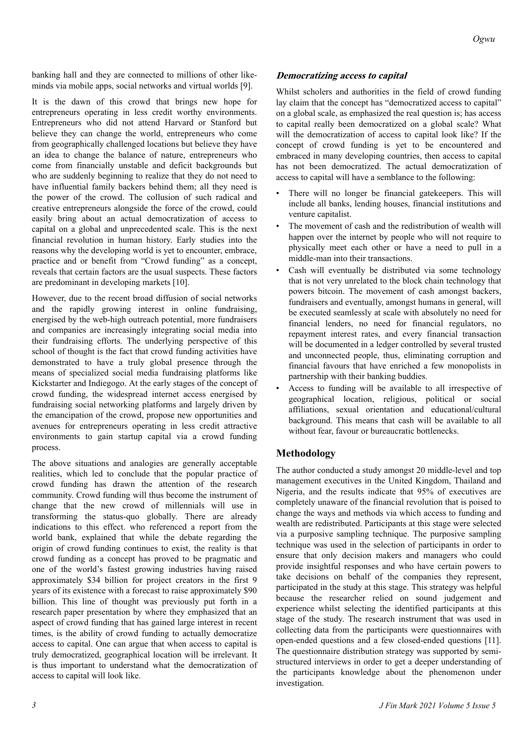banking hall and they are connected to millions of other likeminds via mobile apps, social networks and virtual worlds [9].

It is the dawn of this crowd that brings new hope for entrepreneurs operating in less credit worthy environments. Entrepreneurs who did not attend Harvard or Stanford but believe they can change the world, entrepreneurs who come from geographically challenged locations but believe they have an idea to change the balance of nature, entrepreneurs who come from financially unstable and deficit backgrounds but who are suddenly beginning to realize that they do not need to have influential family backers behind them; all they need is the power of the crowd. The collusion of such radical and creative entrepreneurs alongside the force of the crowd, could easily bring about an actual democratization of access to capital on a global and unprecedented scale. This is the next financial revolution in human history. Early studies into the reasons why the developing world is yet to encounter, embrace, practice and or benefit from "Crowd funding" as a concept, reveals that certain factors are the usual suspects. These factors are predominant in developing markets [10].

However, due to the recent broad diffusion of social networks and the rapidly growing interest in online fundraising, energised by the web-high outreach potential, more fundraisers and companies are increasingly integrating social media into their fundraising efforts. The underlying perspective of this school of thought is the fact that crowd funding activities have demonstrated to have a truly global presence through the means of specialized social media fundraising platforms like Kickstarter and Indiegogo. At the early stages of the concept of crowd funding, the widespread internet access energised by fundraising social networking platforms and largely driven by the emancipation of the crowd, propose new opportunities and avenues for entrepreneurs operating in less credit attractive environments to gain startup capital via a crowd funding process.

The above situations and analogies are generally acceptable realities, which led to conclude that the popular practice of crowd funding has drawn the attention of the research community. Crowd funding will thus become the instrument of change that the new crowd of millennials will use in transforming the status-quo globally. There are already indications to this effect. who referenced a report from the world bank, explained that while the debate regarding the origin of crowd funding continues to exist, the reality is that crowd funding as a concept has proved to be pragmatic and one of the world's fastest growing industries having raised approximately \$34 billion for project creators in the first 9 years of its existence with a forecast to raise approximately \$90 billion. This line of thought was previously put forth in a research paper presentation by where they emphasized that an aspect of crowd funding that has gained large interest in recent times, is the ability of crowd funding to actually democratize access to capital. One can argue that when access to capital is truly democratized, geographical location will be irrelevant. It is thus important to understand what the democratization of access to capital will look like.

### **Democratizing access to capital**

Whilst scholers and authorities in the field of crowd funding lay claim that the concept has "democratized access to capital" on a global scale, as emphasized the real question is; has access to capital really been democratized on a global scale? What will the democratization of access to capital look like? If the concept of crowd funding is yet to be encountered and embraced in many developing countries, then access to capital has not been democratized. The actual democratization of access to capital will have a semblance to the following:

- There will no longer be financial gatekeepers. This will include all banks, lending houses, financial institutions and venture capitalist.
- The movement of cash and the redistribution of wealth will happen over the internet by people who will not require to physically meet each other or have a need to pull in a middle-man into their transactions.
- Cash will eventually be distributed via some technology that is not very unrelated to the block chain technology that powers bitcoin. The movement of cash amongst backers, fundraisers and eventually, amongst humans in general, will be executed seamlessly at scale with absolutely no need for financial lenders, no need for financial regulators, no repayment interest rates, and every financial transaction will be documented in a ledger controlled by several trusted and unconnected people, thus, eliminating corruption and financial favours that have enriched a few monopolists in partnership with their banking buddies.
- Access to funding will be available to all irrespective of geographical location, religious, political or social affiliations, sexual orientation and educational/cultural background. This means that cash will be available to all without fear, favour or bureaucratic bottlenecks.

### **Methodology**

The author conducted a study amongst 20 middle-level and top management executives in the United Kingdom, Thailand and Nigeria, and the results indicate that 95% of executives are completely unaware of the financial revolution that is poised to change the ways and methods via which access to funding and wealth are redistributed. Participants at this stage were selected via a purposive sampling technique. The purposive sampling technique was used in the selection of participants in order to ensure that only decision makers and managers who could provide insightful responses and who have certain powers to take decisions on behalf of the companies they represent, participated in the study at this stage. This strategy was helpful because the researcher relied on sound judgement and experience whilst selecting the identified participants at this stage of the study. The research instrument that was used in collecting data from the participants were questionnaires with open-ended questions and a few closed-ended questions [11]. The questionnaire distribution strategy was supported by semistructured interviews in order to get a deeper understanding of the participants knowledge about the phenomenon under investigation.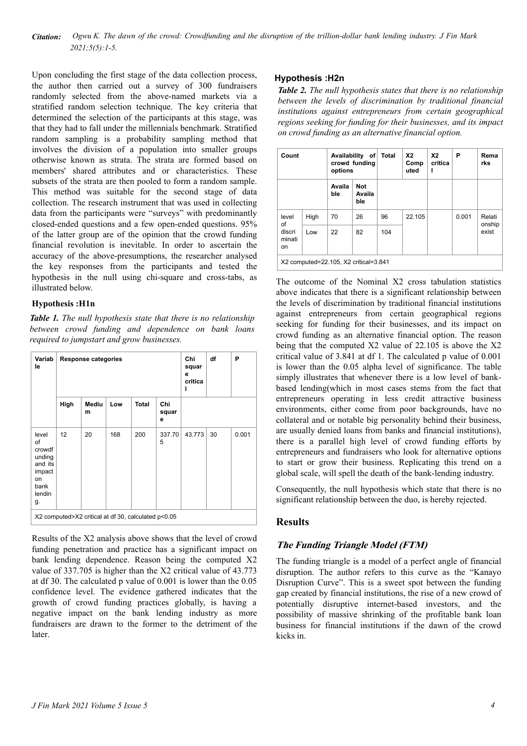#### *Citation: Ogwu K. The dawn of the crowd: Crowdfunding and the disruption of the trillion-dollar bank lending industry. J Fin Mark 2021;5(5):1-5.*

Upon concluding the first stage of the data collection process, the author then carried out a survey of 300 fundraisers randomly selected from the above-named markets via a stratified random selection technique. The key criteria that determined the selection of the participants at this stage, was that they had to fall under the millennials benchmark. Stratified random sampling is a probability sampling method that involves the division of a population into smaller groups otherwise known as strata. The strata are formed based on members' shared attributes and or characteristics. These subsets of the strata are then pooled to form a random sample. This method was suitable for the second stage of data collection. The research instrument that was used in collecting data from the participants were "surveys" with predominantly closed-ended questions and a few open-ended questions. 95% of the latter group are of the opinion that the crowd funding financial revolution is inevitable. In order to ascertain the accuracy of the above-presumptions, the researcher analysed the key responses from the participants and tested the hypothesis in the null using chi-square and cross-tabs, as illustrated below.

#### **Hypothesis :H1n**

*Table 1. The null hypothesis state that there is no relationship between crowd funding and dependence on bank loans required to jumpstart and grow businesses.*

| Variab<br>le                                                                       |      | <b>Response categories</b> |     | Chi<br>squar<br>е<br>critica<br>ı | df                | P      |    |       |  |
|------------------------------------------------------------------------------------|------|----------------------------|-----|-----------------------------------|-------------------|--------|----|-------|--|
|                                                                                    | High | Mediu<br>m                 | Low | <b>Total</b>                      | Chi<br>squar<br>е |        |    |       |  |
| level<br>of<br>crowdf<br>unding<br>and its<br>impact<br>on<br>bank<br>lendin<br>g. | 12   | 20                         | 168 | 200                               | 337.70<br>5       | 43.773 | 30 | 0.001 |  |
| X2 computed>X2 critical at df 30, calculated p<0.05                                |      |                            |     |                                   |                   |        |    |       |  |

Results of the X2 analysis above shows that the level of crowd funding penetration and practice has a significant impact on bank lending dependence. Reason being the computed X2 value of 337.705 is higher than the X2 critical value of 43.773 at df 30. The calculated p value of 0.001 is lower than the 0.05 confidence level. The evidence gathered indicates that the growth of crowd funding practices globally, is having a negative impact on the bank lending industry as more fundraisers are drawn to the former to the detriment of the later.

#### **Hypothesis :H2n**

*Table 2. The null hypothesis states that there is no relationship between the levels of discrimination by traditional financial institutions against entrepreneurs from certain geographical regions seeking for funding for their businesses, and its impact on crowd funding as an alternative financial option.*

| Count                                 |      | Availability of<br>crowd funding<br>options |                             | <b>Total</b> | X <sub>2</sub><br>Comp<br>uted | X <sub>2</sub><br>critica<br>ı | Ρ     | Rema<br>rks               |
|---------------------------------------|------|---------------------------------------------|-----------------------------|--------------|--------------------------------|--------------------------------|-------|---------------------------|
|                                       |      | Availa<br>ble                               | <b>Not</b><br>Availa<br>ble |              |                                |                                |       |                           |
| level<br>of<br>discri<br>minati<br>on | High | 70                                          | 26                          | 96           | 22.105                         |                                | 0.001 | Relati<br>onship<br>exist |
|                                       | Low  | 22                                          | 82                          | 104          |                                |                                |       |                           |
| X2 computed=22.105, X2 critical=3.841 |      |                                             |                             |              |                                |                                |       |                           |

The outcome of the Nominal X2 cross tabulation statistics above indicates that there is a significant relationship between the levels of discrimination by traditional financial institutions against entrepreneurs from certain geographical regions seeking for funding for their businesses, and its impact on crowd funding as an alternative financial option. The reason being that the computed X2 value of 22.105 is above the X2 critical value of 3.841 at df 1. The calculated p value of 0.001 is lower than the 0.05 alpha level of significance. The table simply illustrates that whenever there is a low level of bankbased lending(which in most cases stems from the fact that entrepreneurs operating in less credit attractive business environments, either come from poor backgrounds, have no collateral and or notable big personality behind their business, are usually denied loans from banks and financial institutions), there is a parallel high level of crowd funding efforts by entrepreneurs and fundraisers who look for alternative options to start or grow their business. Replicating this trend on a global scale, will spell the death of the bank-lending industry.

Consequently, the null hypothesis which state that there is no significant relationship between the duo, is hereby rejected.

### **Results**

### **The Funding Triangle Model (FTM)**

The funding triangle is a model of a perfect angle of financial disruption. The author refers to this curve as the "Kanayo Disruption Curve". This is a sweet spot between the funding gap created by financial institutions, the rise of a new crowd of potentially disruptive internet-based investors, and the possibility of massive shrinking of the profitable bank loan business for financial institutions if the dawn of the crowd kicks in.